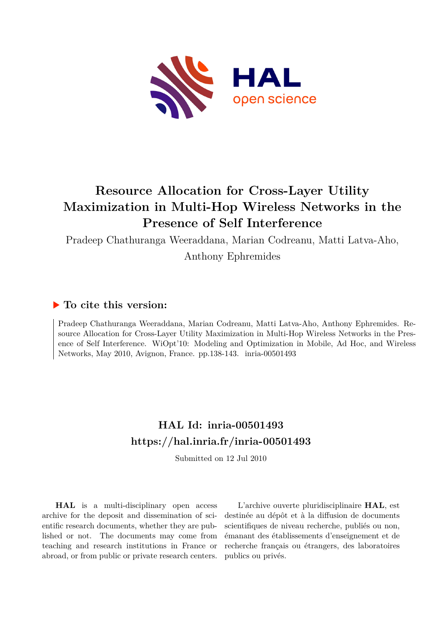

## **Resource Allocation for Cross-Layer Utility Maximization in Multi-Hop Wireless Networks in the Presence of Self Interference**

Pradeep Chathuranga Weeraddana, Marian Codreanu, Matti Latva-Aho,

Anthony Ephremides

### **To cite this version:**

Pradeep Chathuranga Weeraddana, Marian Codreanu, Matti Latva-Aho, Anthony Ephremides. Resource Allocation for Cross-Layer Utility Maximization in Multi-Hop Wireless Networks in the Presence of Self Interference. WiOpt'10: Modeling and Optimization in Mobile, Ad Hoc, and Wireless Networks, May 2010, Avignon, France. pp.138-143. inria-00501493

## **HAL Id: inria-00501493 <https://hal.inria.fr/inria-00501493>**

Submitted on 12 Jul 2010

**HAL** is a multi-disciplinary open access archive for the deposit and dissemination of scientific research documents, whether they are published or not. The documents may come from teaching and research institutions in France or abroad, or from public or private research centers.

L'archive ouverte pluridisciplinaire **HAL**, est destinée au dépôt et à la diffusion de documents scientifiques de niveau recherche, publiés ou non, émanant des établissements d'enseignement et de recherche français ou étrangers, des laboratoires publics ou privés.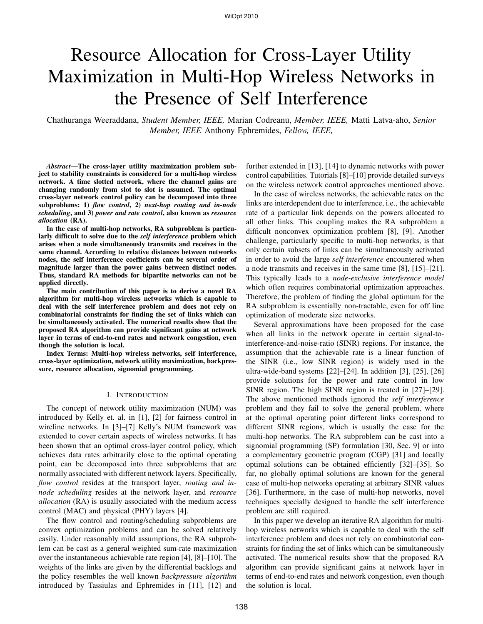# Resource Allocation for Cross-Layer Utility Maximization in Multi-Hop Wireless Networks in the Presence of Self Interference

Chathuranga Weeraddana, *Student Member, IEEE,* Marian Codreanu, *Member, IEEE,* Matti Latva-aho, *Senior Member, IEEE* Anthony Ephremides, *Fellow, IEEE,*

*Abstract***—The cross-layer utility maximization problem subject to stability constraints is considered for a multi-hop wireless network. A time slotted network, where the channel gains are changing randomly from slot to slot is assumed. The optimal cross-layer network control policy can be decomposed into three subproblems: 1)** *flow control***, 2)** *next-hop routing and in-node scheduling***, and 3)** *power and rate control***, also known as** *resource allocation* **(RA).**

**In the case of multi-hop networks, RA subproblem is particularly difficult to solve due to the** *self interference* **problem which arises when a node simultaneously transmits and receives in the same channel. According to relative distances between networks nodes, the self interference coefficients can be several order of magnitude larger than the power gains between distinct nodes. Thus, standard RA methods for bipartite networks can not be applied directly.**

**The main contribution of this paper is to derive a novel RA algorithm for multi-hop wireless networks which is capable to deal with the self interference problem and does not rely on combinatorial constraints for finding the set of links which can be simultaneously activated. The numerical results show that the proposed RA algorithm can provide significant gains at network layer in terms of end-to-end rates and network congestion, even though the solution is local.**

**Index Terms: Multi-hop wireless networks, self interference, cross-layer optimization, network utility maximization, backpressure, resource allocation, signomial programming.**

#### I. INTRODUCTION

The concept of network utility maximization (NUM) was introduced by Kelly et. al. in [1], [2] for fairness control in wireline networks. In [3]–[7] Kelly's NUM framework was extended to cover certain aspects of wireless networks. It has been shown that an optimal cross-layer control policy, which achieves data rates arbitrarily close to the optimal operating point, can be decomposed into three subproblems that are normally associated with different network layers. Specifically, *flow control* resides at the transport layer, *routing and innode scheduling* resides at the network layer, and *resource allocation* (RA) is usually associated with the medium access control (MAC) and physical (PHY) layers [4].

The flow control and routing/scheduling subproblems are convex optimization problems and can be solved relatively easily. Under reasonably mild assumptions, the RA subproblem can be cast as a general weighted sum-rate maximization over the instantaneous achievable rate region [4], [8]–[10]. The weights of the links are given by the differential backlogs and the policy resembles the well known *backpressure algorithm* introduced by Tassiulas and Ephremides in [11], [12] and

further extended in [13], [14] to dynamic networks with power control capabilities. Tutorials [8]–[10] provide detailed surveys on the wireless network control approaches mentioned above.

In the case of wireless networks, the achievable rates on the links are interdependent due to interference, i.e., the achievable rate of a particular link depends on the powers allocated to all other links. This coupling makes the RA subproblem a difficult nonconvex optimization problem [8], [9]. Another challenge, particularly specific to multi-hop networks, is that only certain subsets of links can be simultaneously activated in order to avoid the large *self interference* encountered when a node transmits and receives in the same time [8], [15]–[21]. This typically leads to a *node-exclusive interference model* which often requires combinatorial optimization approaches. Therefore, the problem of finding the global optimum for the RA subproblem is essentially non-tractable, even for off line optimization of moderate size networks.

Several approximations have been proposed for the case when all links in the network operate in certain signal-tointerference-and-noise-ratio (SINR) regions. For instance, the assumption that the achievable rate is a linear function of the SINR (i.e., low SINR region) is widely used in the ultra-wide-band systems [22]–[24]. In addition [3], [25], [26] provide solutions for the power and rate control in low SINR region. The high SINR region is treated in [27]–[29]. The above mentioned methods ignored the *self interference* problem and they fail to solve the general problem, where at the optimal operating point different links correspond to different SINR regions, which is usually the case for the multi-hop networks. The RA subproblem can be cast into a signomial programming (SP) formulation [30, Sec. 9] or into a complementary geometric program (CGP) [31] and locally optimal solutions can be obtained efficiently [32]–[35]. So far, no globally optimal solutions are known for the general case of multi-hop networks operating at arbitrary SINR values [36]. Furthermore, in the case of multi-hop networks, novel techniques specially designed to handle the self interference problem are still required.

In this paper we develop an iterative RA algorithm for multihop wireless networks which is capable to deal with the self interference problem and does not rely on combinatorial constraints for finding the set of links which can be simultaneously activated. The numerical results show that the proposed RA algorithm can provide significant gains at network layer in terms of end-to-end rates and network congestion, even though the solution is local.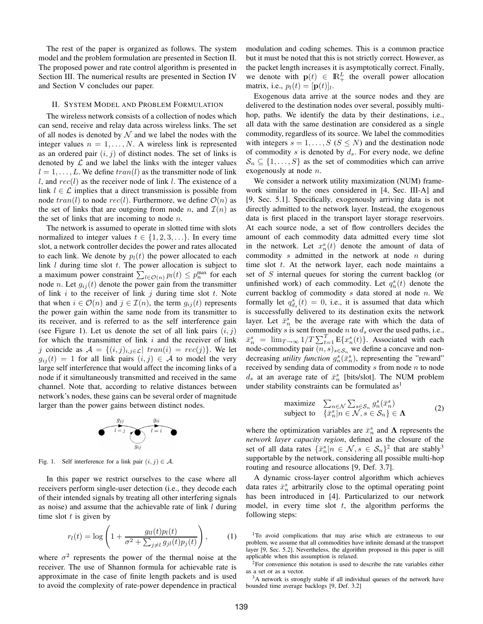The rest of the paper is organized as follows. The system model and the problem formulation are presented in Section II. The proposed power and rate control algorithm is presented in Section III. The numerical results are presented in Section IV and Section V concludes our paper.

#### II. SYSTEM MODEL AND PROBLEM FORMULATION

The wireless network consists of a collection of nodes which can send, receive and relay data across wireless links. The set of all nodes is denoted by  $N$  and we label the nodes with the integer values  $n = 1, \ldots, N$ . A wireless link is represented as an ordered pair  $(i, j)$  of distinct nodes. The set of links is denoted by  $\mathcal L$  and we label the links with the integer values  $l = 1, \ldots, L$ . We define  $tran(l)$  as the transmitter node of link l, and  $rec(l)$  as the receiver node of link l. The existence of a link  $l \in \mathcal{L}$  implies that a direct transmission is possible from node  $tran(l)$  to node  $rec(l)$ . Furthermore, we define  $\mathcal{O}(n)$  as the set of links that are outgoing from node n, and  $\mathcal{I}(n)$  as the set of links that are incoming to node  $n$ .

The network is assumed to operate in slotted time with slots normalized to integer values  $t \in \{1, 2, 3, \ldots\}$ . In every time slot, a network controller decides the power and rates allocated to each link. We denote by  $p_l(t)$  the power allocated to each link  $l$  during time slot  $t$ . The power allocation is subject to a maximum power constraint  $\sum_{l \in \mathcal{O}(n)} p_l(t) \leq p_n^{\max}$  for each node *n*. Let  $g_{ij}(t)$  denote the power gain from the transmitter of link  $i$  to the receiver of link  $j$  during time slot  $t$ . Note that when  $i \in \mathcal{O}(n)$  and  $j \in \mathcal{I}(n)$ , the term  $g_{ij}(t)$  represents the power gain within the same node from its transmitter to its receiver, and is referred to as the self interference gain (see Figure 1). Let us denote the set of all link pairs  $(i, j)$ for which the transmitter of link  $i$  and the receiver of link j coincide as  $A = \{(i, j)_{i,j \in \mathcal{L}} | train(i) = rec(j)\}$ . We let  $g_{ij}(t) = 1$  for all link pairs  $(i, j) \in \mathcal{A}$  to model the very large self interference that would affect the incoming links of a node if it simultaneously transmitted and received in the same channel. Note that, according to relative distances between network's nodes, these gains can be several order of magnitude larger than the power gains between distinct nodes.



Fig. 1. Self interference for a link pair  $(i, j) \in A$ .

In this paper we restrict ourselves to the case where all receivers perform single-user detection (i.e., they decode each of their intended signals by treating all other interfering signals as noise) and assume that the achievable rate of link l during time slot  $t$  is given by

$$
r_l(t) = \log\left(1 + \frac{g_{ll}(t)p_l(t)}{\sigma^2 + \sum_{j \neq l} g_{jl}(t)p_j(t)}\right),\tag{1}
$$

where  $\sigma^2$  represents the power of the thermal noise at the receiver. The use of Shannon formula for achievable rate is approximate in the case of finite length packets and is used to avoid the complexity of rate-power dependence in practical modulation and coding schemes. This is a common practice but it must be noted that this is not strictly correct. However, as the packet length increases it is asymptotically correct. Finally, we denote with  $p(t) \in \mathbb{R}^L_+$  the overall power allocation matrix, i.e.,  $p_l(t) = [\mathbf{p}(t)]_l$ .

Exogenous data arrive at the source nodes and they are delivered to the destination nodes over several, possibly multihop, paths. We identify the data by their destinations, i.e., all data with the same destination are considered as a single commodity, regardless of its source. We label the commodities with integers  $s = 1, \ldots, S$  ( $S \leq N$ ) and the destination node of commodity s is denoted by  $d_s$ . For every node, we define  $\mathcal{S}_n \subseteq \{1, \ldots, S\}$  as the set of commodities which can arrive exogenously at node *n*.

We consider a network utility maximization (NUM) framework similar to the ones considered in [4, Sec. III-A] and [9, Sec. 5.1]. Specifically, exogenously arriving data is not directly admitted to the network layer. Instead, the exogenous data is first placed in the transport layer storage reservoirs. At each source node, a set of flow controllers decides the amount of each commodity data admitted every time slot in the network. Let  $x_n^s(t)$  denote the amount of data of commodity  $s$  admitted in the network at node  $n$  during time slot  $t$ . At the network layer, each node maintains a set of S internal queues for storing the current backlog (or unfinished work) of each commodity. Let  $q_n^s(t)$  denote the current backlog of commodity  $s$  data stored at node  $n$ . We formally let  $q_{d_s}^s(t) = 0$ , i.e., it is assumed that data which is successfully delivered to its destination exits the network layer. Let  $\bar{x}_n^s$  be the average rate with which the data of commodity s is sent from node n to  $d_s$  over the used paths, i.e.,  $\bar{x}_n^s = \lim_{T \to \infty} \frac{1}{T} \sum_{t=1}^T E\{x_n^s(t)\}.$  Associated with each node-commodity pair  $(n, s)_{s \in S_n}$  we define a concave and nondecreasing *utility function*  $g_n^s(\bar{x}_n^s)$ , representing the "reward" received by sending data of commodity  $s$  from node  $n$  to node  $d_s$  at an average rate of  $\bar{x}_n^s$  [bits/slot]. The NUM problem under stability constraints can be formulated  $as<sup>1</sup>$ 

maximize 
$$
\sum_{n \in \mathcal{N}} \sum_{s \in \mathcal{S}_n} g_n^s(\bar{x}_n^s)
$$
  
subject to  $\{\bar{x}_n^s | n \in \mathcal{N}, s \in \mathcal{S}_n\} \in \Lambda$  (2)

where the optimization variables are  $\bar{x}_n^s$  and  $\Lambda$  represents the *network layer capacity region*, defined as the closure of the set of all data rates  $\{\bar{x}_n^s | n \in \mathcal{N}, s \in \mathcal{S}_n\}^2$  that are stably<sup>3</sup> supportable by the network, considering all possible multi-hop routing and resource allocations [9, Def. 3.7].

A dynamic cross-layer control algorithm which achieves data rates  $\bar{x}_n^s$  arbitrarily close to the optimal operating point has been introduced in [4]. Particularized to our network model, in every time slot  $t$ , the algorithm performs the following steps:

<sup>2</sup>For convenience this notation is used to describe the rate variables either as a set or as a vector.

<sup>3</sup>A network is strongly stable if all individual queues of the network have bounded time average backlogs [9, Def. 3.2]

<sup>1</sup>To avoid complications that may arise which are extraneous to our problem, we assume that all commodities have infinite demand at the transport layer [9, Sec. 5.2]. Nevertheless, the algorithm proposed in this paper is still applicable when this assumption is relaxed.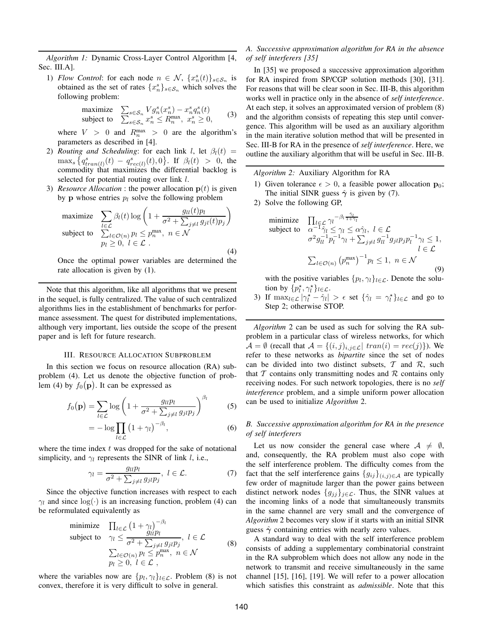*Algorithm 1:* Dynamic Cross-Layer Control Algorithm [4, Sec. III.A].

1) *Flow Control*: for each node  $n \in \mathcal{N}$ ,  $\{x_n^s(t)\}_{s \in \mathcal{S}_n}$  is obtained as the set of rates  $\{x_n^s\}_{s \in \mathcal{S}_n}$  which solves the following problem:

$$
\begin{array}{ll}\text{maximize} & \sum_{s \in \mathcal{S}_n} V g_n^s(x_n^s) - x_n^s q_n^s(t) \\ \text{subject to} & \sum_{s \in \mathcal{S}_n} x_n^s \le R_n^{\max}, \ x_n^s \ge 0, \end{array} \tag{3}
$$

where  $V > 0$  and  $R_n^{\max} > 0$  are the algorithm's parameters as described in [4].

- 2) *Routing and Scheduling*: for each link l, let  $\beta_l(t)$  =  $\max_{s} \left\{ q_{tran(l)}^{s}(t) - q_{rec(l)}^{s}(t), 0 \right\}$ . If  $\beta_{l}(t) > 0$ , the commodity that maximizes the differential backlog is selected for potential routing over link l.
- 3) *Resource Allocation* : the power allocation p(t) is given by **p** whose entries  $p_l$  solve the following problem

maximize 
$$
\sum_{l \in \mathcal{L}} \beta_l(t) \log \left( 1 + \frac{g_{ll}(t)p_l}{\sigma^2 + \sum_{j \neq l} g_{jl}(t)p_j} \right)
$$
  
subject to 
$$
\sum_{l \in \mathcal{O}(n)} p_l \le p_n^{\max}, n \in \mathcal{N}
$$

$$
p_l \ge 0, l \in \mathcal{L}.
$$
 (4)

Once the optimal power variables are determined the rate allocation is given by (1).

Note that this algorithm, like all algorithms that we present in the sequel, is fully centralized. The value of such centralized algorithms lies in the establishment of benchmarks for performance assessment. The quest for distributed implementations, although very important, lies outside the scope of the present paper and is left for future research.

#### III. RESOURCE ALLOCATION SUBPROBLEM

In this section we focus on resource allocation (RA) subproblem (4). Let us denote the objective function of problem (4) by  $f_0(\mathbf{p})$ . It can be expressed as

$$
f_0(\mathbf{p}) = \sum_{l \in \mathcal{L}} \log \left( 1 + \frac{g_{ll} p_l}{\sigma^2 + \sum_{j \neq l} g_{jl} p_j} \right)^{\beta_l} \tag{5}
$$

$$
= -\log \prod_{l \in \mathcal{L}} \left(1 + \gamma_l\right)^{-\beta_l},\tag{6}
$$

where the time index  $t$  was dropped for the sake of notational simplicity, and  $\gamma_l$  represents the SINR of link l, i.e.,

$$
\gamma_l = \frac{g_{ll}p_l}{\sigma^2 + \sum_{j \neq l} g_{jl}p_j}, \ l \in \mathcal{L}.\tag{7}
$$

Since the objective function increases with respect to each  $\gamma_l$  and since log( $\cdot$ ) is an increasing function, problem (4) can be reformulated equivalently as

minimize 
$$
\prod_{l \in \mathcal{L}} (1 + \gamma_l)^{-\beta_l}
$$
  
\nsubject to  $\gamma_l \le \frac{g_{ll}p_l}{\sigma^2 + \sum_{j \neq l} g_{jl}p_j}, l \in \mathcal{L}$   
\n $\sum_{l \in \mathcal{O}(n)} p_l \le p_n^{\max}, n \in \mathcal{N}$   
\n $p_l \ge 0, l \in \mathcal{L}$ , (8)

where the variables now are  $\{p_l, \gamma_l\}_{l \in \mathcal{L}}$ . Problem (8) is not convex, therefore it is very difficult to solve in general.

#### *A. Successive approximation algorithm for RA in the absence of self interferers [35]*

In [35] we proposed a successive approximation algorithm for RA inspired from SP/CGP solution methods [30], [31]. For reasons that will be clear soon in Sec. III-B, this algorithm works well in practice only in the absence of *self interference*. At each step, it solves an approximated version of problem (8) and the algorithm consists of repeating this step until convergence. This algorithm will be used as an auxiliary algorithm in the main iterative solution method that will be presented in Sec. III-B for RA in the presence of *self interference*. Here, we outline the auxiliary algorithm that will be useful in Sec. III-B.

*Algorithm 2:* Auxiliary Algorithm for RA

- 1) Given tolerance  $\epsilon > 0$ , a feasible power allocation  $\mathbf{p}_0$ ; The initial SINR guess  $\hat{\gamma}$  is given by (7).
- 2) Solve the following GP,

minimize 
$$
\prod_{l \in \mathcal{L}} \gamma_l^{-\beta_l \frac{\hat{\gamma}_l}{1+\hat{\gamma}_l}} \text{subject to } \alpha^{-1} \hat{\gamma}_l \leq \gamma_l \leq \alpha \hat{\gamma}_l, \ l \in \mathcal{L}
$$

$$
\sigma^2 g_{ll}^{-1} p_l^{-1} \gamma_l + \sum_{j \neq l} g_{ll}^{-1} g_{jl} p_j p_l^{-1} \gamma_l \leq 1,
$$

$$
\sum_{l \in \mathcal{O}(n)} (p_n^{\max})^{-1} p_l \leq 1, \ n \in \mathcal{N}
$$
(9)

with the positive variables  $\{p_l, \gamma_l\}_{l \in \mathcal{L}}$ . Denote the solution by  $\{p_l^*, \gamma_l^*\}_{l \in \mathcal{L}}$ .

3) If  $\max_{l \in \mathcal{L}} |\gamma_l^* - \hat{\gamma}_l| > \epsilon$  set  $\{\hat{\gamma}_l = \gamma_l^*\}_{l \in \mathcal{L}}$  and go to Step 2; otherwise STOP.

*Algorithm* 2 can be used as such for solving the RA subproblem in a particular class of wireless networks, for which  $\mathcal{A} = \emptyset$  (recall that  $\mathcal{A} = \{(i, j)_{i, j \in \mathcal{L}} | train(i) = rec(j)\}\)$ . We refer to these networks as *bipartite* since the set of nodes can be divided into two distinct subsets,  $T$  and  $R$ , such that  $T$  contains only transmitting nodes and  $R$  contains only receiving nodes. For such network topologies, there is no *self interference* problem, and a simple uniform power allocation can be used to initialize *Algorithm* 2.

#### *B. Successive approximation algorithm for RA in the presence of self interferers*

Let us now consider the general case where  $A \neq \emptyset$ , and, consequently, the RA problem must also cope with the self interference problem. The difficulty comes from the fact that the self interference gains  ${g_{ij}}_{(i,j)\in A}$  are typically few order of magnitude larger than the power gains between distinct network nodes  ${g_{ij}}_{i \in \mathcal{L}}$ . Thus, the SINR values at the incoming links of a node that simultaneously transmits in the same channel are very small and the convergence of *Algorithm* 2 becomes very slow if it starts with an initial SINR guess  $\hat{\gamma}$  containing entries with nearly zero values.

A standard way to deal with the self interference problem consists of adding a supplementary combinatorial constraint in the RA subproblem which does not allow any node in the network to transmit and receive simultaneously in the same channel [15], [16], [19]. We will refer to a power allocation which satisfies this constraint as *admissible*. Note that this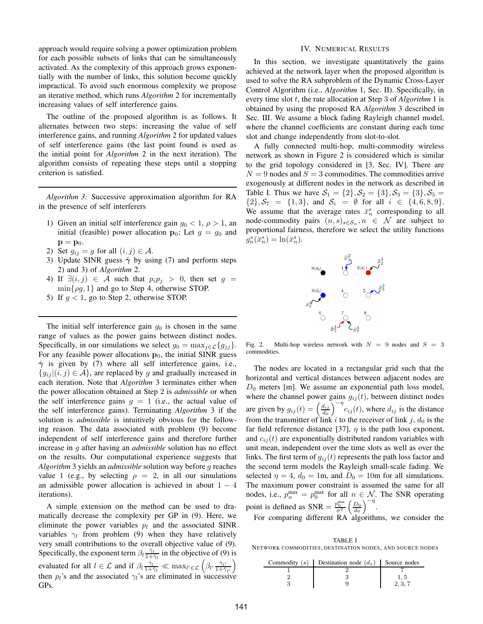approach would require solving a power optimization problem for each possible subsets of links that can be simultaneously activated. As the complexity of this approach grows exponentially with the number of links, this solution become quickly impractical. To avoid such enormous complexity we propose an iterative method, which runs *Algorithm* 2 for incrementally increasing values of self interference gains.

The outline of the proposed algorithm is as follows. It alternates between two steps: increasing the value of self interference gains, and running *Algorithm* 2 for updated values of self interference gains (the last point found is used as the initial point for *Algorithm* 2 in the next iteration). The algorithm consists of repeating these steps until a stopping criterion is satisfied.

*Algorithm 3:* Successive approximation algorithm for RA in the presence of self interferers

- 1) Given an initial self interference gain  $g_0 < 1$ ,  $\rho > 1$ , an initial (feasible) power allocation  $\mathbf{p}_0$ ; Let  $g = g_0$  and  $\mathbf{p} = \mathbf{p}_0.$
- 2) Set  $g_{ij} = g$  for all  $(i, j) \in \mathcal{A}$ .
- 3) Update SINR guess  $\hat{\gamma}$  by using (7) and perform steps 2) and 3) of *Algorithm* 2.
- 4) If  $\exists (i, j) \in \mathcal{A}$  such that  $p_i p_j > 0$ , then set  $g =$  $\min\{\rho q, 1\}$  and go to Step 4, otherwise STOP.
- 5) If  $g < 1$ , go to Step 2, otherwise STOP.

The initial self interference gain  $g_0$  is chosen in the same range of values as the power gains between distinct nodes. Specifically, in our simulations we select  $g_0 = \max_{j \in \mathcal{L}} \{g_{jj}\}.$ For any feasible power allocations  $p_0$ , the initial SINR guess  $\hat{\gamma}$  is given by (7) where all self interference gains, i.e.,  ${g_{ij}} |(i, j) \in \mathcal{A}$ , are replaced by g and gradually increased in each iteration. Note that *Algorithm* 3 terminates either when the power allocation obtained at Step 2 is *admissible* or when the self interference gains  $q = 1$  (i.e., the actual value of the self interference gains). Terminating *Algorithm* 3 if the solution is *admissible* is intuitively obvious for the following reason. The data associated with problem (9) become independent of self interference gains and therefore further increase in g after having an *admissible* solution has no effect on the results. Our computational experience suggests that *Algorithm* 3 yields an *admissible* solution way before g reaches value 1 (e.g., by selecting  $\rho = 2$ , in all our simulations an admissible power allocation is achieved in about  $1 - 4$ iterations).

A simple extension on the method can be used to dramatically decrease the complexity per GP in (9). Here, we eliminate the power variables  $p_l$  and the associated SINR variables  $\gamma_l$  from problem (9) when they have relatively very small contributions to the overall objective value of (9). Specifically, the exponent term  $\beta_l \frac{\hat{\gamma}_l}{1+\hat{\gamma}_l}$  in the objective of (9) is evaluated for all  $l \in \mathcal{L}$  and if  $\beta_l \frac{\hat{\gamma}_l}{1 + \hat{\gamma}_l} \ll \max_{l' \in \mathcal{L}} \left( \beta_{l'} \frac{\hat{\gamma}_{l'}}{1 + \hat{\gamma}_{l'}} \right)$ then  $p_l$ 's and the associated  $\gamma_l$ 's are eliminated in successive GPs.

#### IV. NUMERICAL RESULTS

In this section, we investigate quantitatively the gains achieved at the network layer when the proposed algorithm is used to solve the RA subproblem of the Dynamic Cross-Layer Control Algorithm (i.e., *Algorithm* 1, Sec. II). Specifically, in every time slot t, the rate allocation at Step 3 of *Algorithm* 1 is obtained by using the proposed RA *Algorithm* 3 described in Sec. III. We assume a block fading Rayleigh channel model, where the channel coefficients are constant during each time slot and change independently from slot-to-slot.

A fully connected multi-hop, multi-commodity wireless network as shown in Figure 2 is considered which is similar to the grid topology considered in [3, Sec. IV]. There are  $N = 9$  nodes and  $S = 3$  commodities. The commodities arrive exogenously at different nodes in the network as described in Table I. Thus we have  $S_1 = \{2\}, S_2 = \{3\}, S_3 = \{3\}, S_5 =$  $\{2\}, \mathcal{S}_7 = \{1,3\}, \text{ and } \mathcal{S}_i = \emptyset \text{ for all } i \in \{4,6,8,9\}.$ We assume that the average rates  $\bar{x}_n^s$  corresponding to all node-commodity pairs  $(n, s)_{s \in S_n}$ ,  $n \in \mathcal{N}$  are subject to proportional fairness, therefore we select the utility functions  $g_n^s(\bar{x}_n^s) = \ln(\bar{x}_n^s).$ 



Fig. 2. Multi-hop wireless network with  $N = 9$  nodes and  $S = 3$ commodities.

The nodes are located in a rectangular grid such that the horizontal and vertical distances between adjacent nodes are  $D_0$  meters [m]. We assume an exponential path loss model, where the channel power gains  $g_{ij}(t)$ , between distinct nodes are given by  $g_{ij}(t) = \left(\frac{d_{ij}}{d_0}\right)$  $\left(\frac{d_{ij}}{d_0}\right)^{-\eta} c_{ij}(t)$ , where  $d_{ij}$  is the distance from the transmitter of link i to the receiver of link j,  $d_0$  is the far field reference distance [37],  $\eta$  is the path loss exponent, and  $c_{ij}(t)$  are exponentially distributed random variables with unit mean, independent over the time slots as well as over the links. The first term of  $g_{ij}(t)$  represents the path loss factor and the second term models the Rayleigh small-scale fading. We selected  $\eta = 4$ ,  $d_0 = 1$ m, and  $D_0 = 10$ m for all simulations. The maximum power constraint is assumed the same for all nodes, i.e.,  $p_n^{\max} = p_0^{\max}$  for all  $n \in \mathcal{N}$ . The SNR operating point is defined as SNR =  $\frac{p_0^{\text{max}}}{\sigma^2} \left(\frac{D_0}{d_0}\right)^{-\eta}$ .

For comparing different RA algorithms, we consider the

TABLE I NETWORK COMMODITIES, DESTINATION NODES, AND SOURCE NODES

| Commodity (s) Destination node $(d_s)$ Source nodes |  |
|-----------------------------------------------------|--|
|                                                     |  |
|                                                     |  |
|                                                     |  |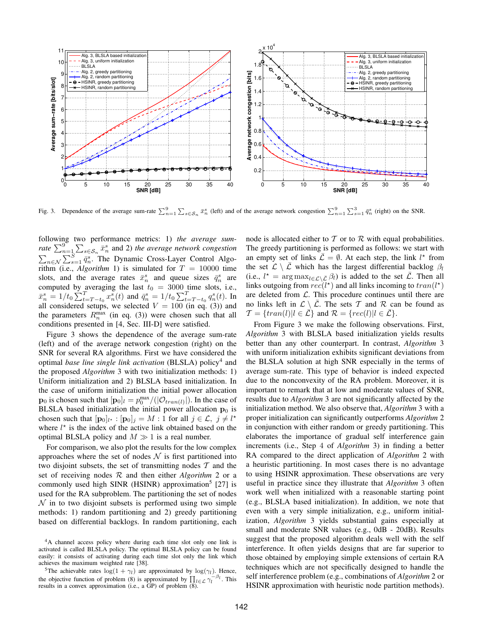

Fig. 3. Dependence of the average sum-rate  $\sum_{n=1}^{9} \sum_{s \in S_n} \bar{x}_n^s$  (left) and of the average network congestion  $\sum_{n=1}^{9} \sum_{s=1}^{3} \bar{q}_n^s$  (right) on the SNR.

following two performance metrics: 1) *the average sumrate*  $\sum_{n=1}^{9} \sum_{s \in \mathcal{S}_n} \bar{x}_n^s$  and 2) *the average network congestion*  $\sum_{n \in \mathcal{N}} \sum_{s=1}^{S} \bar{q}_n^s$ . The Dynamic Cross-Layer Control Algorithm (i.e., *Algorithm* 1) is simulated for  $T = 10000$  time slots, and the average rates  $\bar{x}_n^s$  and queue sizes  $\bar{q}_n^s$  are computed by averaging the last  $t_0 = 3000$  time slots, i.e.,  $\bar{x}_n^s = 1/t_0 \sum_{t=T-t_0}^{T} x_n^s(t)$  and  $\bar{q}_n^s = 1/t_0 \sum_{t=T-t_0}^{T} q_n^s(t)$ . In all considered setups, we selected  $V = 100$  (in eq. (3)) and the parameters  $R_n^{\max}$  (in eq. (3)) were chosen such that all conditions presented in [4, Sec. III-D] were satisfied.

Figure 3 shows the dependence of the average sum-rate (left) and of the average network congestion (right) on the SNR for several RA algorithms. First we have considered the optimal *base line single link activation* (BLSLA) policy<sup>4</sup> and the proposed *Algorithm* 3 with two initialization methods: 1) Uniform initialization and 2) BLSLA based initialization. In the case of uniform initialization the initial power allocation  $\mathbf{p}_0$  is chosen such that  $[\mathbf{p}_0]_l = p_0^{\max}/(|\mathcal{O}_{tran(l)}|)$ . In the case of BLSLA based initialization the initial power allocation  $\mathbf{p}_0$  is chosen such that  $[\mathbf{p}_0]_{l^*} : [\mathbf{p}_0]_j = M : 1$  for all  $j \in \mathcal{L}, j \neq l^*$ where  $l^*$  is the index of the active link obtained based on the optimal BLSLA policy and  $M \gg 1$  is a real number.

For comparison, we also plot the results for the low complex approaches where the set of nodes  $N$  is first partitioned into two disjoint subsets, the set of transmitting nodes  $T$  and the set of receiving nodes R and then either *Algorithm* 2 or a commonly used high SINR (HSINR) approximation<sup>5</sup> [27] is used for the RA subproblem. The partitioning the set of nodes  $\mathcal N$  in to two disjoint subsets is performed using two simple methods: 1) random partitioning and 2) greedy partitioning based on differential backlogs. In random partitioning, each node is allocated either to  $T$  or to  $R$  with equal probabilities. The greedy partitioning is performed as follows: we start with an empty set of links  $\overline{\mathcal{L}} = \emptyset$ . At each step, the link  $l^*$  from the set  $\mathcal{L} \setminus \overline{\mathcal{L}}$  which has the largest differential backlog  $\beta_l$ (i.e.,  $l^* = \arg \max_{l \in \mathcal{L} \setminus \bar{\mathcal{L}}} \beta_l$ ) is added to the set  $\bar{\mathcal{L}}$ . Then all links outgoing from  $rec(l^*)$  and all links incoming to  $tran(l^*)$ are deleted from  $\mathcal{L}$ . This procedure continues until there are no links left in  $\mathcal{L} \setminus \overline{\mathcal{L}}$ . The sets T and R can be found as  $\mathcal{T} = \{tran(l) | l \in \mathcal{L}\}$  and  $\mathcal{R} = \{rec(l) | l \in \mathcal{L}\}.$ 

From Figure 3 we make the following observations. First, *Algorithm* 3 with BLSLA based initialization yields results better than any other counterpart. In contrast, *Algorithm* 3 with uniform initialization exhibits significant deviations from the BLSLA solution at high SNR especially in the terms of average sum-rate. This type of behavior is indeed expected due to the nonconvexity of the RA problem. Moreover, it is important to remark that at low and moderate values of SNR, results due to *Algorithm* 3 are not significantly affected by the initialization method. We also observe that, *Algorithm* 3 with a proper initialization can significantly outperforms *Algorithm* 2 in conjunction with either random or greedy partitioning. This elaborates the importance of gradual self interference gain increments (i.e., Step 4 of *Algorithm* 3) in finding a better RA compared to the direct application of *Algorithm* 2 with a heuristic partitioning. In most cases there is no advantage to using HSINR approximation. These observations are very useful in practice since they illustrate that *Algorithm* 3 often work well when initialized with a reasonable starting point (e.g., BLSLA based initialization). In addition, we note that even with a very simple initialization, e.g., uniform initialization, *Algorithm* 3 yields substantial gains especially at small and moderate SNR values (e.g., 0dB - 20dB). Results suggest that the proposed algorithm deals well with the self interference. It often yields designs that are far superior to those obtained by employing simple extensions of certain RA techniques which are not specifically designed to handle the self interference problem (e.g., combinations of *Algorithm* 2 or HSINR approximation with heuristic node partition methods).

<sup>4</sup>A channel access policy where during each time slot only one link is activated is called BLSLA policy. The optimal BLSLA policy can be found easily: it consists of activating during each time slot only the link which achieves the maximum weighted rate [38].

<sup>&</sup>lt;sup>5</sup>The achievable rates  $\log(1 + \gamma_l)$  are approximated by  $\log(\gamma_l)$ . Hence, the objective function of problem (8) is approximated by  $\prod_{l \in \mathcal{L}} \gamma_l$  results in a convex approximation (i.e., a GP) of problem (8).  $\int_{l}^{-\beta_l}$ . This